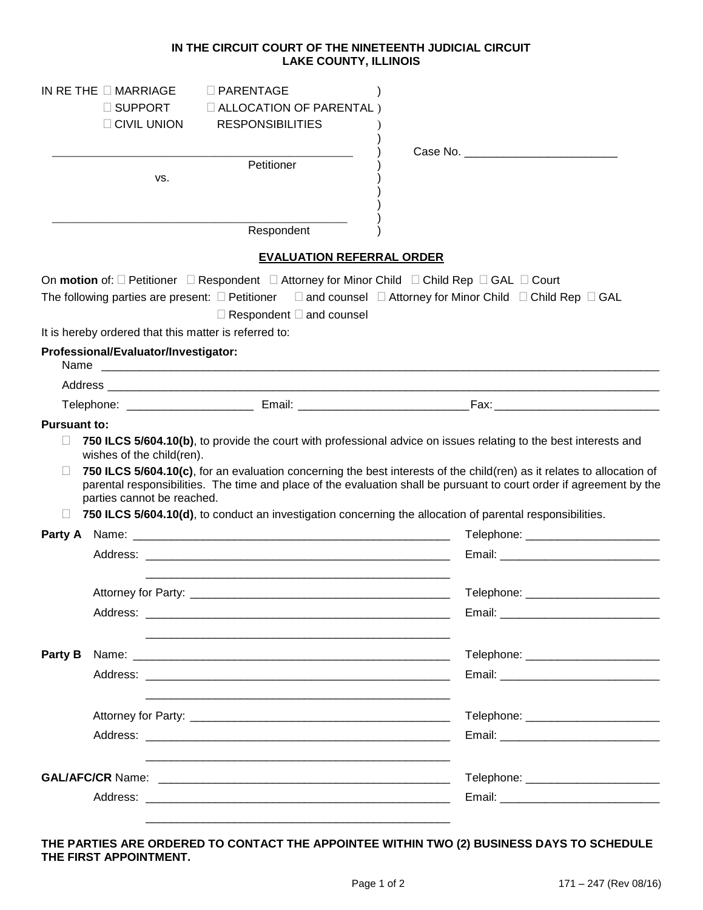## **IN THE CIRCUIT COURT OF THE NINETEENTH JUDICIAL CIRCUIT LAKE COUNTY, ILLINOIS**

|                     | IN RETHE $\Box$ MARRIAGE                              | $\Box$ PARENTAGE                                                                                                           |                                                                                                                                                                                                                                                |
|---------------------|-------------------------------------------------------|----------------------------------------------------------------------------------------------------------------------------|------------------------------------------------------------------------------------------------------------------------------------------------------------------------------------------------------------------------------------------------|
|                     | $\Box$ SUPPORT                                        | $\Box$ ALLOCATION OF PARENTAL)                                                                                             |                                                                                                                                                                                                                                                |
|                     | $\Box$ CIVIL UNION                                    | <b>RESPONSIBILITIES</b>                                                                                                    |                                                                                                                                                                                                                                                |
|                     |                                                       |                                                                                                                            | Case No. The case of the case of the case of the case of the case of the case of the case of the case of the case of the case of the case of the case of the case of the case of the case of the case of the case of the case                  |
|                     | VS.                                                   | Petitioner                                                                                                                 |                                                                                                                                                                                                                                                |
|                     |                                                       |                                                                                                                            |                                                                                                                                                                                                                                                |
|                     |                                                       |                                                                                                                            |                                                                                                                                                                                                                                                |
|                     |                                                       | Respondent                                                                                                                 |                                                                                                                                                                                                                                                |
|                     |                                                       | <b>EVALUATION REFERRAL ORDER</b>                                                                                           |                                                                                                                                                                                                                                                |
|                     |                                                       | On motion of: $\Box$ Petitioner $\Box$ Respondent $\Box$ Attorney for Minor Child $\Box$ Child Rep $\Box$ GAL $\Box$ Court |                                                                                                                                                                                                                                                |
|                     |                                                       |                                                                                                                            | The following parties are present: $\square$ Petitioner $\square$ and counsel $\square$ Attorney for Minor Child $\square$ Child Rep $\square$ GAL                                                                                             |
|                     |                                                       | $\Box$ Respondent $\Box$ and counsel                                                                                       |                                                                                                                                                                                                                                                |
|                     | It is hereby ordered that this matter is referred to: |                                                                                                                            |                                                                                                                                                                                                                                                |
|                     | Professional/Evaluator/Investigator:                  |                                                                                                                            |                                                                                                                                                                                                                                                |
|                     |                                                       |                                                                                                                            |                                                                                                                                                                                                                                                |
|                     |                                                       |                                                                                                                            |                                                                                                                                                                                                                                                |
| <b>Pursuant to:</b> |                                                       |                                                                                                                            |                                                                                                                                                                                                                                                |
| $\Box$              |                                                       |                                                                                                                            | 750 ILCS 5/604.10(b), to provide the court with professional advice on issues relating to the best interests and                                                                                                                               |
|                     | wishes of the child(ren).                             |                                                                                                                            |                                                                                                                                                                                                                                                |
|                     |                                                       |                                                                                                                            | 750 ILCS 5/604.10(c), for an evaluation concerning the best interests of the child(ren) as it relates to allocation of<br>parental responsibilities. The time and place of the evaluation shall be pursuant to court order if agreement by the |
|                     | parties cannot be reached.                            |                                                                                                                            |                                                                                                                                                                                                                                                |
| $\mathbf{L}$        |                                                       |                                                                                                                            | 750 ILCS 5/604.10(d), to conduct an investigation concerning the allocation of parental responsibilities.                                                                                                                                      |
|                     |                                                       |                                                                                                                            | Telephone: ___________________________                                                                                                                                                                                                         |
|                     |                                                       |                                                                                                                            |                                                                                                                                                                                                                                                |
|                     |                                                       |                                                                                                                            |                                                                                                                                                                                                                                                |
|                     | Attorney for Party:                                   |                                                                                                                            | Telephone: _                                                                                                                                                                                                                                   |
|                     |                                                       |                                                                                                                            |                                                                                                                                                                                                                                                |
|                     |                                                       |                                                                                                                            |                                                                                                                                                                                                                                                |
| Party B             |                                                       |                                                                                                                            | Telephone: __________________________                                                                                                                                                                                                          |
|                     |                                                       |                                                                                                                            |                                                                                                                                                                                                                                                |
|                     |                                                       |                                                                                                                            |                                                                                                                                                                                                                                                |
|                     |                                                       |                                                                                                                            | Telephone: __________________________                                                                                                                                                                                                          |
|                     |                                                       |                                                                                                                            |                                                                                                                                                                                                                                                |
|                     |                                                       |                                                                                                                            |                                                                                                                                                                                                                                                |
|                     |                                                       |                                                                                                                            | Telephone: __________________________                                                                                                                                                                                                          |
|                     |                                                       |                                                                                                                            |                                                                                                                                                                                                                                                |
|                     |                                                       |                                                                                                                            |                                                                                                                                                                                                                                                |
|                     |                                                       |                                                                                                                            |                                                                                                                                                                                                                                                |

## **THE PARTIES ARE ORDERED TO CONTACT THE APPOINTEE WITHIN TWO (2) BUSINESS DAYS TO SCHEDULE THE FIRST APPOINTMENT.**